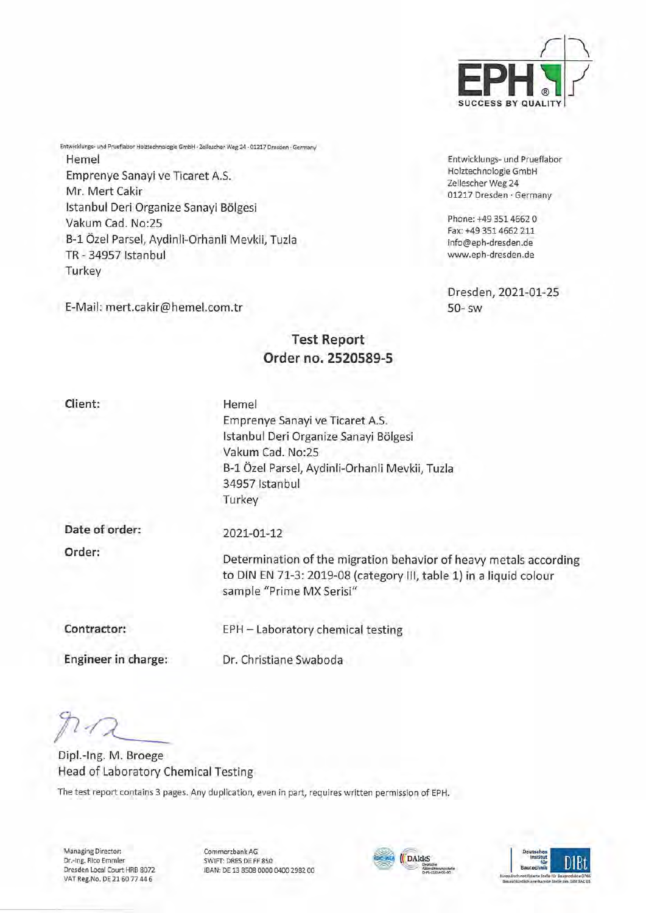

Entwicklungs- und Prueflabor Holztechnologie GmbH Zellescher Weg 24 01217 Dresden · Germany

Phone: +49 351 4662 0 Fax: +49 3514662 211 [info@eph-dresden.de](mailto:info@eph-dresden.de) [www.eph-dresden.de](http://www.eph-dresden.de)

Dresden, 2021-01-25 50- sw

Entwicklungs- und Prueflabor Holztechnologie GmbH • Zellescher Weg 24 • 01217 Dresden • Germany Hemel Emprenye Sanayi ve Ticaret A.S. Mr. Mert Cakir Istanbul Deri Organize Sanayi Bölgesi Vakum Cad. No:25 B-l Özel Parsel, Aydinli-Orhanli Mevkii, Tuzla TR-34957 Istanbul **Turkey** 

E-Mail: mert.cakir@hemel.com.tr

# **Test Report Order no. 2520589-5**

**Client:**

Hemel Emprenye Sanayi ve Ticaret A.S. Istanbul Deri Organize Sanayi Bölgesi Vakum Cad. No:25 B-l Özel Parsel, Aydinli-Orhanli Mevkii, Tuzla 34957 Istanbul Turkey

**Date of Order: Order:**

**2021**-**01-12**

Determination of the migration behavior of heavy metals according to DIN EN 71-3: 2019-08 (category III, table 1) in <sup>a</sup> liquid colour sample "Prime MX Serisi"

**Contractor:**

EPH - Laboratory Chemical testing

**Engineer in Charge:**

Dr. Christiane Swaboda

Dipl.-Ing. M. Broege Head of Laboratory Chemical Testing

The test report contains 3 pages. Any duplication, even in part, requires written permission of EPH.

Managing Director: Dr.-Ing. Rico Emmler Dresden Local Court HRB 8072 VAT Reg.No. DE 2160 77 44 6 Commerzbank AG SWIFT: DRES DE FF 850 IBAN: DE 13 8508 0000 0400 2982 00



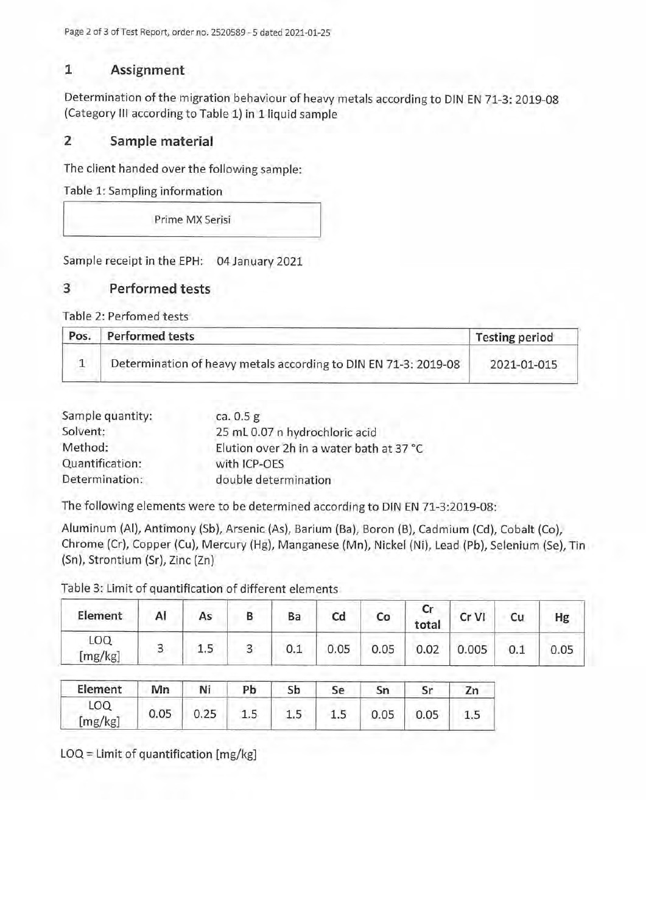Page 2 of 3 of Test Report, Order no. 2520589 - 5 dated 2021-01-25

## **1 Assignment**

Determination of the migration behaviour of heavy metals according to DIN EN 71-3: 2019-08 (Category III according to Table 1) in <sup>1</sup> liquid sample

# **2 Sample material**

The dient handed over the following sample:

Table 1: Sampling information

Prime MX Serisi

Sample receipt in the EPH: 04 January 2021

## **3 Performed tests**

Table 2: Perfomed tests

| Pos. | <b>Performed tests</b>                                          | <b>Testing period</b> |  |  |
|------|-----------------------------------------------------------------|-----------------------|--|--|
|      | Determination of heavy metals according to DIN EN 71-3: 2019-08 | 2021-01-015           |  |  |

| Sample quantity: | ca. $0.5g$                               |
|------------------|------------------------------------------|
| Solvent:         | 25 mL 0.07 n hydrochloric acid           |
| Method:          | Elution over 2h in a water bath at 37 °C |
| Quantification:  | with ICP-OES                             |
| Determination:   | double determination                     |

The following elements were to be determined according to DIN EN 71-3:2019-08:

Aluminum (AI), Antimony (Sb), Arsenic (As), Barium (Ba), Boron (B), Cadmium (Cd), Cobalt (Co), Chrome (Cr), Copper (Cu), Mercury (Hg), Manganese (Mn), Nickel (Ni), Lead (Pb), Selenium (Se), Tin (Sn), Strontium (Sr), Zinc (Zn)

Table 3: Limit of quantification of different elements

| Element              | Al | As | Ba  | Cd   | Co   | Cr<br>total | Cr VI | Hg   |
|----------------------|----|----|-----|------|------|-------------|-------|------|
| <b>LOQ</b><br>mg/kg] |    |    | 0.1 | 0.05 | 0.05 | 0.02        | 0.005 | 0.05 |

| Element               | Mn   | Ni   | Pb | Sb  | Se      | Sn   |      | 7 <sub>u</sub> |
|-----------------------|------|------|----|-----|---------|------|------|----------------|
| <b>LOQ</b><br>[mg/kg] | 0.05 | 0.25 | ∸⊷ | 1.5 | $1.5\,$ | 0.05 | 0.05 |                |

LOQ = Limit of quantification [mg/kg]